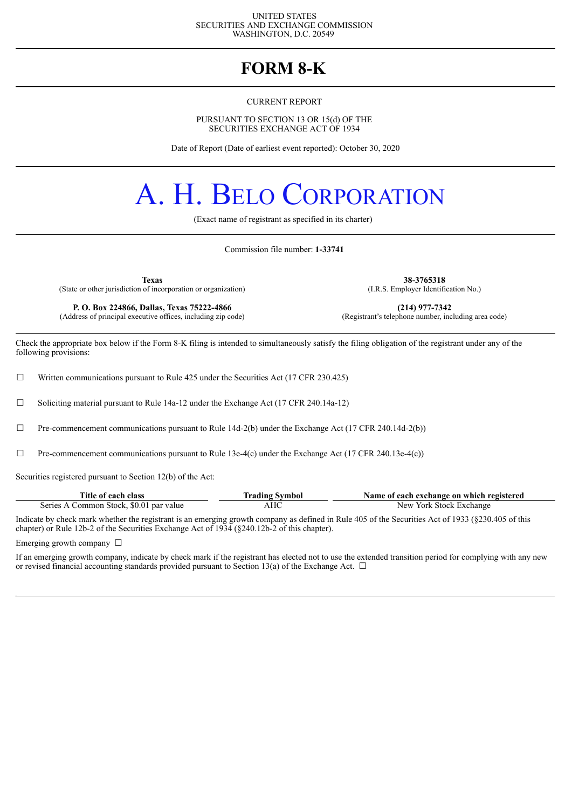#### UNITED STATES SECURITIES AND EXCHANGE COMMISSION WASHINGTON, D.C. 20549

### **FORM 8-K**

#### CURRENT REPORT

PURSUANT TO SECTION 13 OR 15(d) OF THE SECURITIES EXCHANGE ACT OF 1934

Date of Report (Date of earliest event reported): October 30, 2020

# A. H. BELO CORPORATION

(Exact name of registrant as specified in its charter)

Commission file number: **1-33741**

(State or other jurisdiction of incorporation or organization)

**P. O. Box 224866, Dallas, Texas 75222-4866 (214) 977-7342 (214) 977-7342 (214) 977-7342 (214) 977-7342 (214) 977-7342 (214) 977-7342 (214) 977-7342 (214) 10 (214) 10 (214) 10 (214** (Address of principal executive offices, including zip code)

**Texas 38-3765318**<br> **38-3765318** (I.R.S. Employer Identification No.)

Check the appropriate box below if the Form 8-K filing is intended to simultaneously satisfy the filing obligation of the registrant under any of the following provisions:

□ Written communications pursuant to Rule 425 under the Securities Act (17 CFR 230.425)

☐ Soliciting material pursuant to Rule 14a-12 under the Exchange Act (17 CFR 240.14a-12)

 $\Box$  Pre-commencement communications pursuant to Rule 14d-2(b) under the Exchange Act (17 CFR 240.14d-2(b))

 $\Box$  Pre-commencement communications pursuant to Rule 13e-4(c) under the Exchange Act (17 CFR 240.13e-4(c))

Securities registered pursuant to Section 12(b) of the Act:

| Title of each class                     | Trading Symbol | Name of each exchange on which registered |
|-----------------------------------------|----------------|-------------------------------------------|
| Series A Common Stock, \$0.01 par value | AHC            | New York Stock Exchange                   |

Indicate by check mark whether the registrant is an emerging growth company as defined in Rule 405 of the Securities Act of 1933 (§230.405 of this chapter) or Rule 12b-2 of the Securities Exchange Act of 1934 (§240.12b-2 of this chapter).

Emerging growth company  $\Box$ 

If an emerging growth company, indicate by check mark if the registrant has elected not to use the extended transition period for complying with any new or revised financial accounting standards provided pursuant to Section 13(a) of the Exchange Act.  $\Box$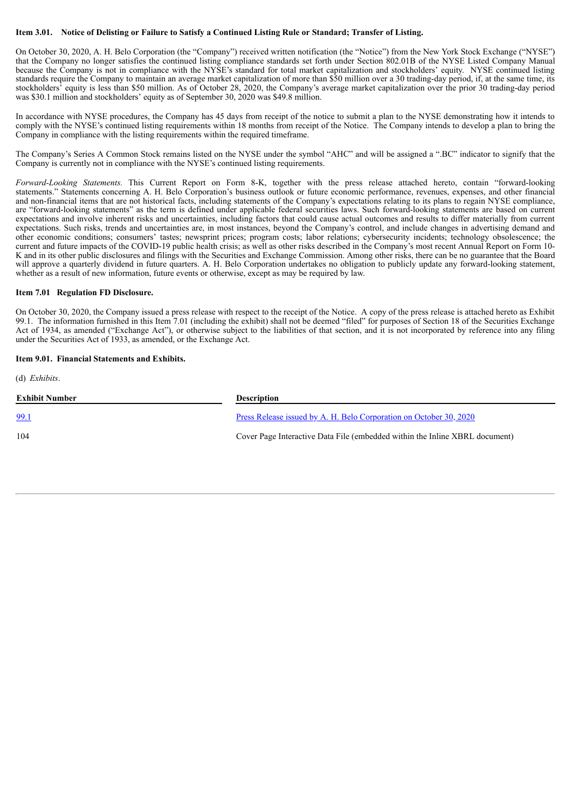#### Item 3.01. Notice of Delisting or Failure to Satisfy a Continued Listing Rule or Standard; Transfer of Listing.

On October 30, 2020, A. H. Belo Corporation (the "Company") received written notification (the "Notice") from the New York Stock Exchange ("NYSE") that the Company no longer satisfies the continued listing compliance standards set forth under Section 802.01B of the NYSE Listed Company Manual because the Company is not in compliance with the NYSE's standard for total market capitalization and stockholders' equity. NYSE continued listing standards require the Company to maintain an average market capitalization of more than \$50 million over a 30 trading-day period, if, at the same time, its stockholders' equity is less than \$50 million. As of October 28, 2020, the Company's average market capitalization over the prior 30 trading-day period was \$30.1 million and stockholders' equity as of September 30, 2020 was \$49.8 million.

In accordance with NYSE procedures, the Company has 45 days from receipt of the notice to submit a plan to the NYSE demonstrating how it intends to comply with the NYSE's continued listing requirements within 18 months from receipt of the Notice. The Company intends to develop a plan to bring the Company in compliance with the listing requirements within the required timeframe.

The Company's Series A Common Stock remains listed on the NYSE under the symbol "AHC" and will be assigned a ".BC" indicator to signify that the Company is currently not in compliance with the NYSE's continued listing requirements.

*Forward-Looking Statements.* This Current Report on Form 8-K, together with the press release attached hereto, contain "forward-looking statements." Statements concerning A. H. Belo Corporation's business outlook or future economic performance, revenues, expenses, and other financial and non-financial items that are not historical facts, including statements of the Company's expectations relating to its plans to regain NYSE compliance, are "forward-looking statements" as the term is defined under applicable federal securities laws. Such forward-looking statements are based on current expectations and involve inherent risks and uncertainties, including factors that could cause actual outcomes and results to differ materially from current expectations. Such risks, trends and uncertainties are, in most instances, beyond the Company's control, and include changes in advertising demand and other economic conditions; consumers' tastes; newsprint prices; program costs; labor relations; cybersecurity incidents; technology obsolescence; the current and future impacts of the COVID-19 public health crisis; as well as other risks described in the Company's most recent Annual Report on Form 10- K and in its other public disclosures and filings with the Securities and Exchange Commission. Among other risks, there can be no guarantee that the Board will approve a quarterly dividend in future quarters. A. H. Belo Corporation undertakes no obligation to publicly update any forward-looking statement, whether as a result of new information, future events or otherwise, except as may be required by law.

#### **Item 7.01 Regulation FD Disclosure.**

On October 30, 2020, the Company issued a press release with respect to the receipt of the Notice. A copy of the press release is attached hereto as Exhibit 99.1. The information furnished in this Item 7.01 (including the exhibit) shall not be deemed "filed" for purposes of Section 18 of the Securities Exchange Act of 1934, as amended ("Exchange Act"), or otherwise subject to the liabilities of that section, and it is not incorporated by reference into any filing under the Securities Act of 1933, as amended, or the Exchange Act.

#### **Item 9.01. Financial Statements and Exhibits.**

| $(d)$ <i>Exhibits.</i> |                                                                             |  |
|------------------------|-----------------------------------------------------------------------------|--|
| <b>Exhibit Number</b>  | <b>Description</b>                                                          |  |
| 99.1                   | Press Release issued by A. H. Belo Corporation on October 30, 2020          |  |
| 104                    | Cover Page Interactive Data File (embedded within the Inline XBRL document) |  |
|                        |                                                                             |  |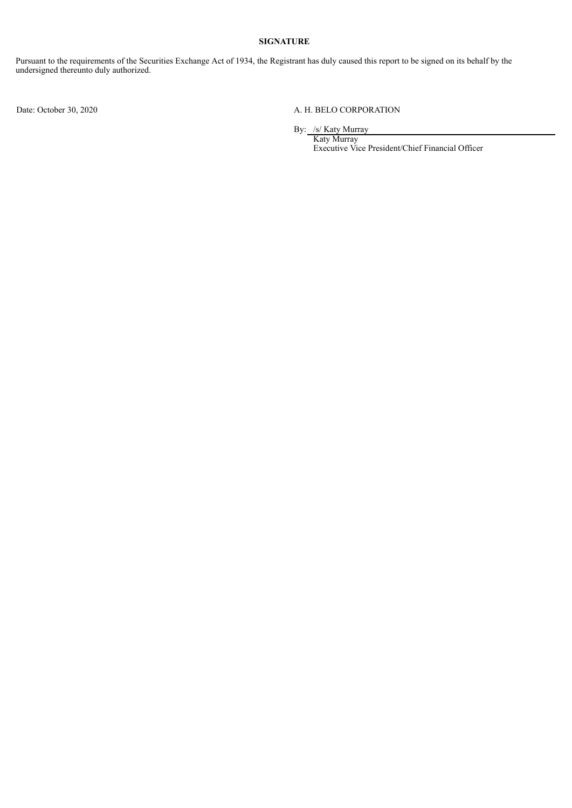#### **SIGNATURE**

Pursuant to the requirements of the Securities Exchange Act of 1934, the Registrant has duly caused this report to be signed on its behalf by the undersigned thereunto duly authorized.

#### Date: October 30, 2020 A. H. BELO CORPORATION

By: /s/ Katy Murray

Katy Murray Executive Vice President/Chief Financial Officer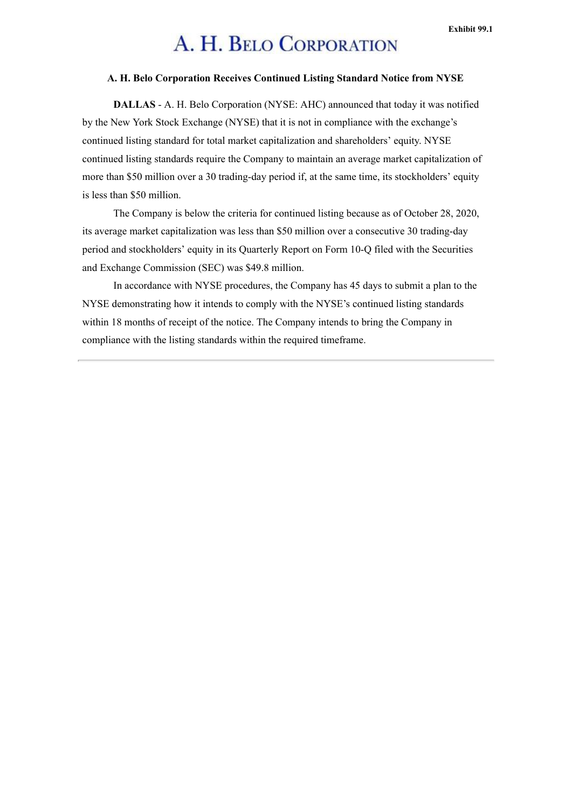## A. H. BELO CORPORATION

#### <span id="page-3-0"></span>**A. H. Belo Corporation Receives Continued Listing Standard Notice from NYSE**

**DALLAS** - A. H. Belo Corporation (NYSE: AHC) announced that today it was notified by the New York Stock Exchange (NYSE) that it is not in compliance with the exchange's continued listing standard for total market capitalization and shareholders' equity. NYSE continued listing standards require the Company to maintain an average market capitalization of more than \$50 million over a 30 trading-day period if, at the same time, its stockholders' equity is less than \$50 million.

The Company is below the criteria for continued listing because as of October 28, 2020, its average market capitalization was less than \$50 million over a consecutive 30 trading-day period and stockholders' equity in its Quarterly Report on Form 10-Q filed with the Securities and Exchange Commission (SEC) was \$49.8 million.

In accordance with NYSE procedures, the Company has 45 days to submit a plan to the NYSE demonstrating how it intends to comply with the NYSE's continued listing standards within 18 months of receipt of the notice. The Company intends to bring the Company in compliance with the listing standards within the required timeframe.